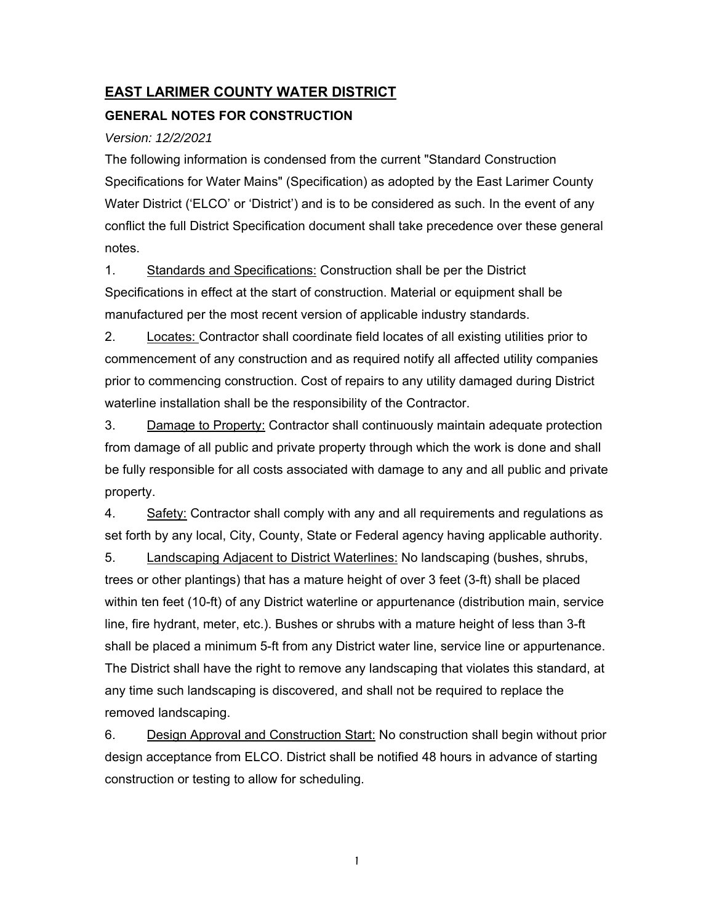# **EAST LARIMER COUNTY WATER DISTRICT**

## **GENERAL NOTES FOR CONSTRUCTION**

### *Version: 12/2/2021*

The following information is condensed from the current "Standard Construction Specifications for Water Mains" (Specification) as adopted by the East Larimer County Water District ('ELCO' or 'District') and is to be considered as such. In the event of any conflict the full District Specification document shall take precedence over these general notes.

1. Standards and Specifications: Construction shall be per the District Specifications in effect at the start of construction. Material or equipment shall be manufactured per the most recent version of applicable industry standards.

2. Locates: Contractor shall coordinate field locates of all existing utilities prior to commencement of any construction and as required notify all affected utility companies prior to commencing construction. Cost of repairs to any utility damaged during District waterline installation shall be the responsibility of the Contractor.

3. Damage to Property: Contractor shall continuously maintain adequate protection from damage of all public and private property through which the work is done and shall be fully responsible for all costs associated with damage to any and all public and private property.

4. Safety: Contractor shall comply with any and all requirements and regulations as set forth by any local, City, County, State or Federal agency having applicable authority.

5. Landscaping Adjacent to District Waterlines: No landscaping (bushes, shrubs, trees or other plantings) that has a mature height of over 3 feet (3-ft) shall be placed within ten feet (10-ft) of any District waterline or appurtenance (distribution main, service line, fire hydrant, meter, etc.). Bushes or shrubs with a mature height of less than 3-ft shall be placed a minimum 5-ft from any District water line, service line or appurtenance. The District shall have the right to remove any landscaping that violates this standard, at any time such landscaping is discovered, and shall not be required to replace the removed landscaping.

6. Design Approval and Construction Start: No construction shall begin without prior design acceptance from ELCO. District shall be notified 48 hours in advance of starting construction or testing to allow for scheduling.

1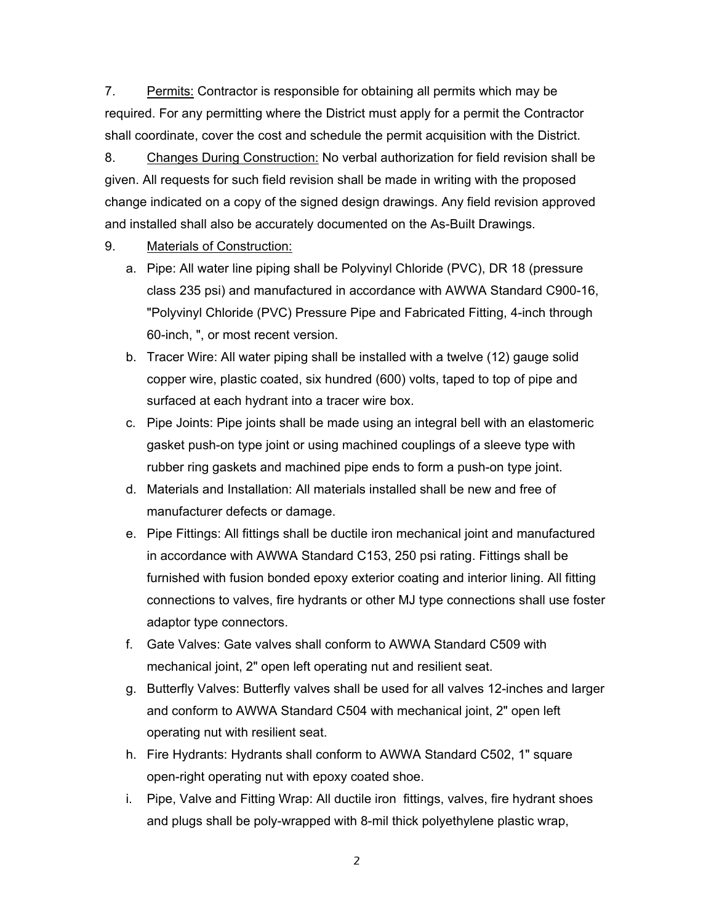7. Permits: Contractor is responsible for obtaining all permits which may be required. For any permitting where the District must apply for a permit the Contractor shall coordinate, cover the cost and schedule the permit acquisition with the District.

8. Changes During Construction: No verbal authorization for field revision shall be given. All requests for such field revision shall be made in writing with the proposed change indicated on a copy of the signed design drawings. Any field revision approved and installed shall also be accurately documented on the As-Built Drawings.

#### 9. Materials of Construction:

- a. Pipe: All water line piping shall be Polyvinyl Chloride (PVC), DR 18 (pressure class 235 psi) and manufactured in accordance with AWWA Standard C900-16, "Polyvinyl Chloride (PVC) Pressure Pipe and Fabricated Fitting, 4-inch through 60-inch, ", or most recent version.
- b. Tracer Wire: All water piping shall be installed with a twelve (12) gauge solid copper wire, plastic coated, six hundred (600) volts, taped to top of pipe and surfaced at each hydrant into a tracer wire box.
- c. Pipe Joints: Pipe joints shall be made using an integral bell with an elastomeric gasket push-on type joint or using machined couplings of a sleeve type with rubber ring gaskets and machined pipe ends to form a push-on type joint.
- d. Materials and Installation: All materials installed shall be new and free of manufacturer defects or damage.
- e. Pipe Fittings: All fittings shall be ductile iron mechanical joint and manufactured in accordance with AWWA Standard C153, 250 psi rating. Fittings shall be furnished with fusion bonded epoxy exterior coating and interior lining. All fitting connections to valves, fire hydrants or other MJ type connections shall use foster adaptor type connectors.
- f. Gate Valves: Gate valves shall conform to AWWA Standard C509 with mechanical joint, 2" open left operating nut and resilient seat.
- g. Butterfly Valves: Butterfly valves shall be used for all valves 12-inches and larger and conform to AWWA Standard C504 with mechanical joint, 2" open left operating nut with resilient seat.
- h. Fire Hydrants: Hydrants shall conform to AWWA Standard C502, 1" square open-right operating nut with epoxy coated shoe.
- i. Pipe, Valve and Fitting Wrap: All ductile iron fittings, valves, fire hydrant shoes and plugs shall be poly-wrapped with 8-mil thick polyethylene plastic wrap,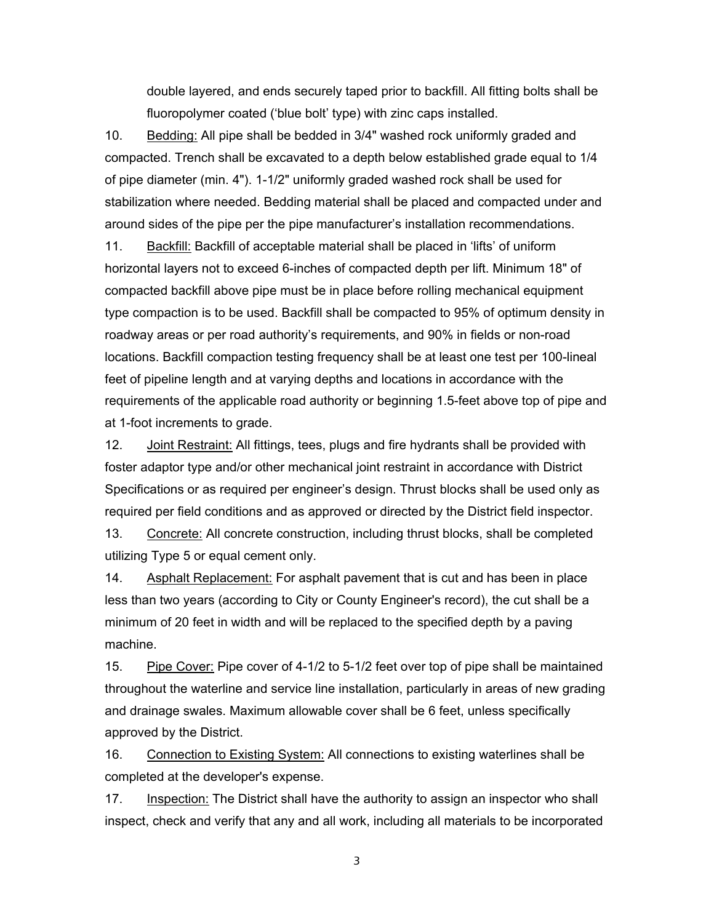double layered, and ends securely taped prior to backfill. All fitting bolts shall be fluoropolymer coated ('blue bolt' type) with zinc caps installed.

10. Bedding: All pipe shall be bedded in 3/4" washed rock uniformly graded and compacted. Trench shall be excavated to a depth below established grade equal to 1/4 of pipe diameter (min. 4"). 1-1/2" uniformly graded washed rock shall be used for stabilization where needed. Bedding material shall be placed and compacted under and around sides of the pipe per the pipe manufacturer's installation recommendations. 11. Backfill: Backfill of acceptable material shall be placed in 'lifts' of uniform horizontal layers not to exceed 6-inches of compacted depth per lift. Minimum 18" of compacted backfill above pipe must be in place before rolling mechanical equipment type compaction is to be used. Backfill shall be compacted to 95% of optimum density in roadway areas or per road authority's requirements, and 90% in fields or non-road locations. Backfill compaction testing frequency shall be at least one test per 100-lineal feet of pipeline length and at varying depths and locations in accordance with the requirements of the applicable road authority or beginning 1.5-feet above top of pipe and at 1-foot increments to grade.

12. Joint Restraint: All fittings, tees, plugs and fire hydrants shall be provided with foster adaptor type and/or other mechanical joint restraint in accordance with District Specifications or as required per engineer's design. Thrust blocks shall be used only as required per field conditions and as approved or directed by the District field inspector.

13. Concrete: All concrete construction, including thrust blocks, shall be completed utilizing Type 5 or equal cement only.

14. Asphalt Replacement: For asphalt pavement that is cut and has been in place less than two years (according to City or County Engineer's record), the cut shall be a minimum of 20 feet in width and will be replaced to the specified depth by a paving machine.

15. Pipe Cover: Pipe cover of 4-1/2 to 5-1/2 feet over top of pipe shall be maintained throughout the waterline and service line installation, particularly in areas of new grading and drainage swales. Maximum allowable cover shall be 6 feet, unless specifically approved by the District.

16. Connection to Existing System: All connections to existing waterlines shall be completed at the developer's expense.

17. Inspection: The District shall have the authority to assign an inspector who shall inspect, check and verify that any and all work, including all materials to be incorporated

3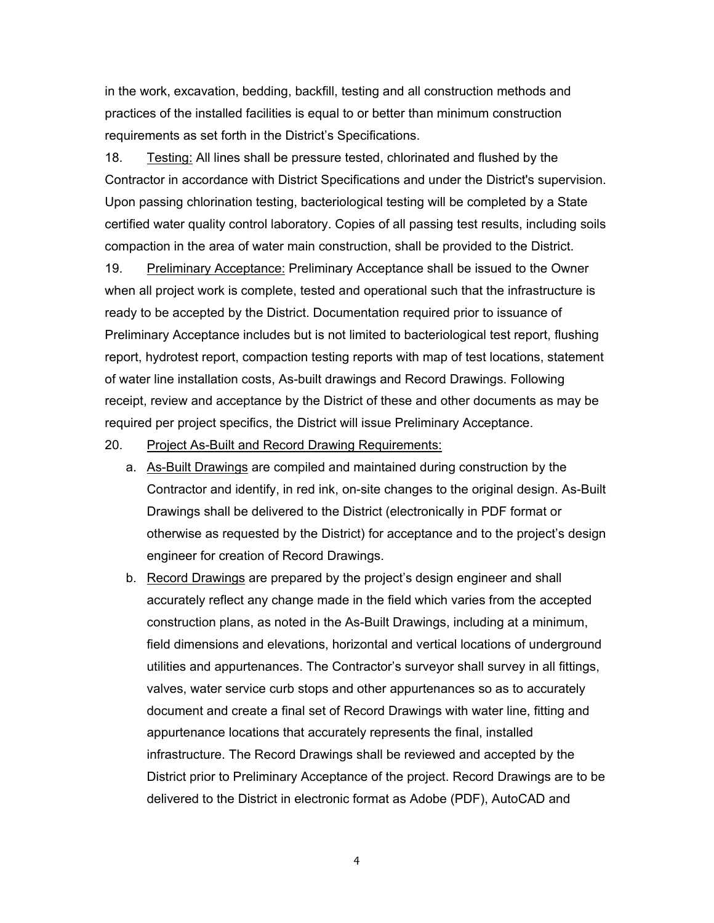in the work, excavation, bedding, backfill, testing and all construction methods and practices of the installed facilities is equal to or better than minimum construction requirements as set forth in the District's Specifications.

18. Testing: All lines shall be pressure tested, chlorinated and flushed by the Contractor in accordance with District Specifications and under the District's supervision. Upon passing chlorination testing, bacteriological testing will be completed by a State certified water quality control laboratory. Copies of all passing test results, including soils compaction in the area of water main construction, shall be provided to the District.

19. Preliminary Acceptance: Preliminary Acceptance shall be issued to the Owner when all project work is complete, tested and operational such that the infrastructure is ready to be accepted by the District. Documentation required prior to issuance of Preliminary Acceptance includes but is not limited to bacteriological test report, flushing report, hydrotest report, compaction testing reports with map of test locations, statement of water line installation costs, As-built drawings and Record Drawings. Following receipt, review and acceptance by the District of these and other documents as may be required per project specifics, the District will issue Preliminary Acceptance.

#### 20. Project As-Built and Record Drawing Requirements:

- a. As-Built Drawings are compiled and maintained during construction by the Contractor and identify, in red ink, on-site changes to the original design. As-Built Drawings shall be delivered to the District (electronically in PDF format or otherwise as requested by the District) for acceptance and to the project's design engineer for creation of Record Drawings.
- b. Record Drawings are prepared by the project's design engineer and shall accurately reflect any change made in the field which varies from the accepted construction plans, as noted in the As-Built Drawings, including at a minimum, field dimensions and elevations, horizontal and vertical locations of underground utilities and appurtenances. The Contractor's surveyor shall survey in all fittings, valves, water service curb stops and other appurtenances so as to accurately document and create a final set of Record Drawings with water line, fitting and appurtenance locations that accurately represents the final, installed infrastructure. The Record Drawings shall be reviewed and accepted by the District prior to Preliminary Acceptance of the project. Record Drawings are to be delivered to the District in electronic format as Adobe (PDF), AutoCAD and

4